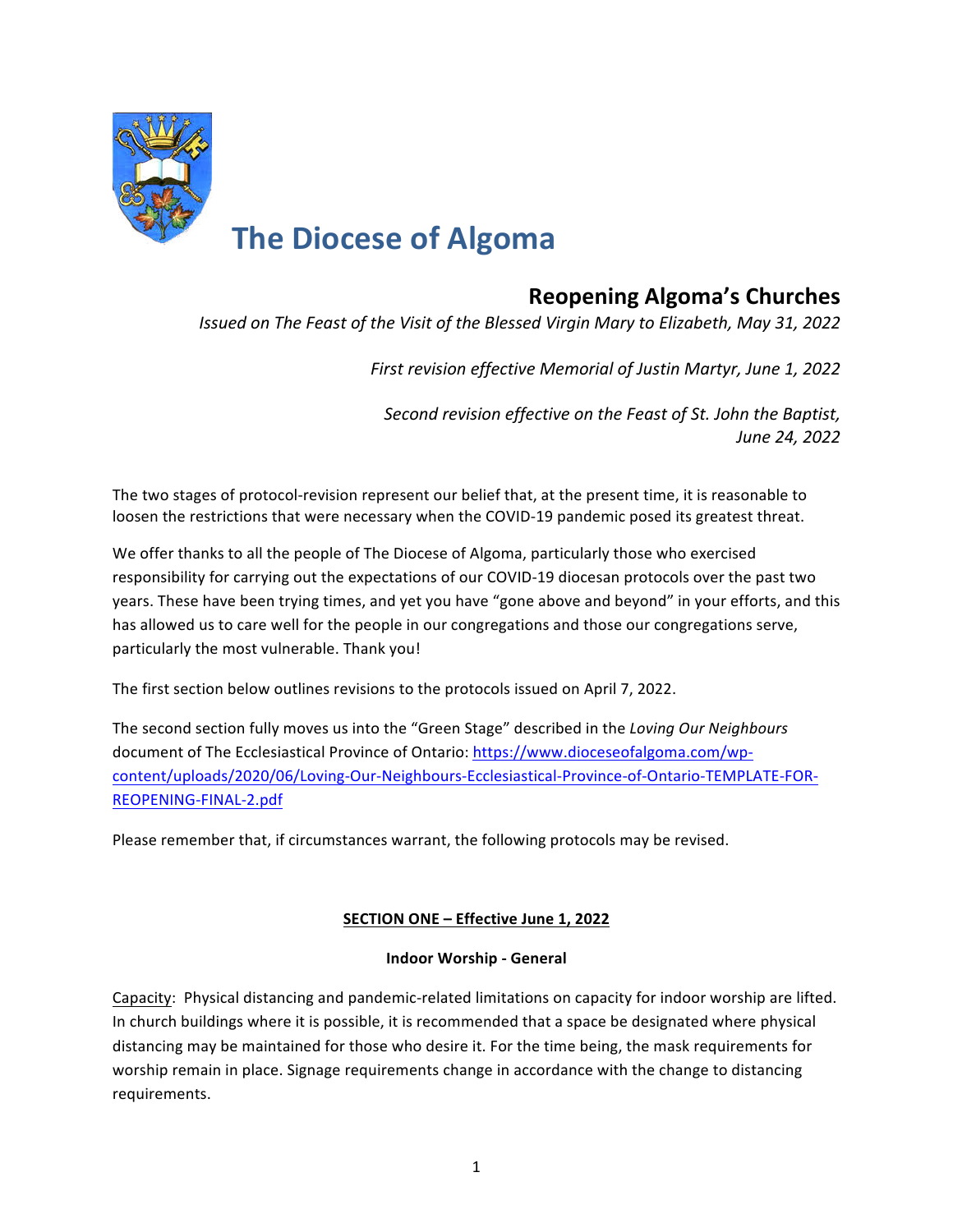

# **Reopening Algoma's Churches**

*Issued on The Feast of the Visit of the Blessed Virgin Mary to Elizabeth, May 31, 2022* 

First revision effective Memorial of Justin Martyr, June 1, 2022

*Second revision effective on the Feast of St. John the Baptist, June 24, 2022*

The two stages of protocol-revision represent our belief that, at the present time, it is reasonable to loosen the restrictions that were necessary when the COVID-19 pandemic posed its greatest threat.

We offer thanks to all the people of The Diocese of Algoma, particularly those who exercised responsibility for carrying out the expectations of our COVID-19 diocesan protocols over the past two years. These have been trying times, and yet you have "gone above and beyond" in your efforts, and this has allowed us to care well for the people in our congregations and those our congregations serve, particularly the most vulnerable. Thank you!

The first section below outlines revisions to the protocols issued on April 7, 2022.

The second section fully moves us into the "Green Stage" described in the *Loving Our Neighbours* document of The Ecclesiastical Province of Ontario: https://www.dioceseofalgoma.com/wpcontent/uploads/2020/06/Loving-Our-Neighbours-Ecclesiastical-Province-of-Ontario-TEMPLATE-FOR-REOPENING-FINAL-2.pdf

Please remember that, if circumstances warrant, the following protocols may be revised.

# **SECTION ONE - Effective June 1, 2022**

### **Indoor Worship - General**

Capacity: Physical distancing and pandemic-related limitations on capacity for indoor worship are lifted. In church buildings where it is possible, it is recommended that a space be designated where physical distancing may be maintained for those who desire it. For the time being, the mask requirements for worship remain in place. Signage requirements change in accordance with the change to distancing requirements.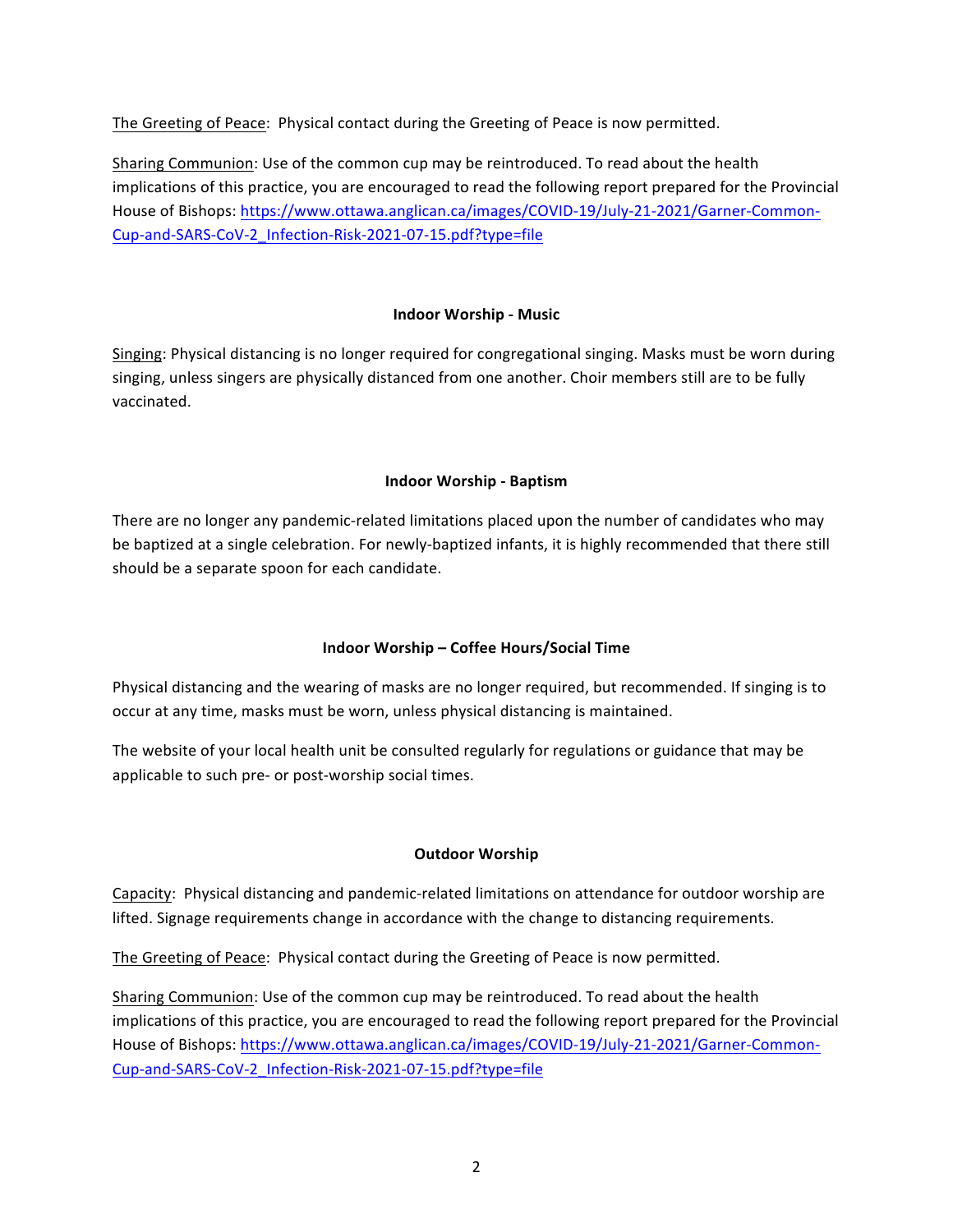The Greeting of Peace: Physical contact during the Greeting of Peace is now permitted.

Sharing Communion: Use of the common cup may be reintroduced. To read about the health implications of this practice, you are encouraged to read the following report prepared for the Provincial House of Bishops: https://www.ottawa.anglican.ca/images/COVID-19/July-21-2021/Garner-Common-Cup-and-SARS-CoV-2\_Infection-Risk-2021-07-15.pdf?type=file

## **Indoor Worship - Music**

Singing: Physical distancing is no longer required for congregational singing. Masks must be worn during singing, unless singers are physically distanced from one another. Choir members still are to be fully vaccinated. 

## **Indoor Worship - Baptism**

There are no longer any pandemic-related limitations placed upon the number of candidates who may be baptized at a single celebration. For newly-baptized infants, it is highly recommended that there still should be a separate spoon for each candidate.

# **Indoor Worship – Coffee Hours/Social Time**

Physical distancing and the wearing of masks are no longer required, but recommended. If singing is to occur at any time, masks must be worn, unless physical distancing is maintained.

The website of your local health unit be consulted regularly for regulations or guidance that may be applicable to such pre- or post-worship social times.

### **Outdoor Worship**

Capacity: Physical distancing and pandemic-related limitations on attendance for outdoor worship are lifted. Signage requirements change in accordance with the change to distancing requirements.

The Greeting of Peace: Physical contact during the Greeting of Peace is now permitted.

Sharing Communion: Use of the common cup may be reintroduced. To read about the health implications of this practice, you are encouraged to read the following report prepared for the Provincial House of Bishops: https://www.ottawa.anglican.ca/images/COVID-19/July-21-2021/Garner-Common-Cup-and-SARS-CoV-2\_Infection-Risk-2021-07-15.pdf?type=file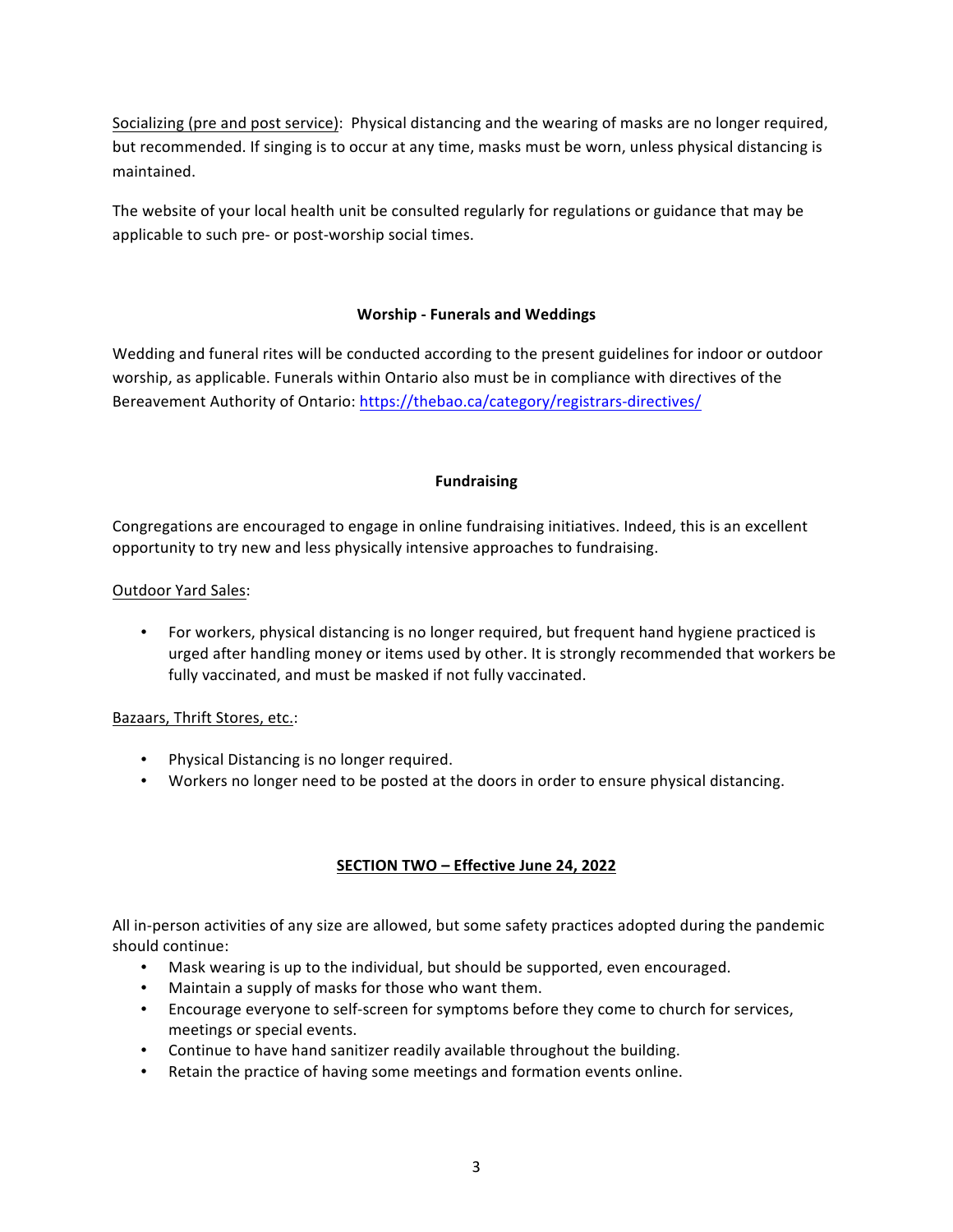Socializing (pre and post service): Physical distancing and the wearing of masks are no longer required, but recommended. If singing is to occur at any time, masks must be worn, unless physical distancing is maintained. 

The website of your local health unit be consulted regularly for regulations or guidance that may be applicable to such pre- or post-worship social times.

## **Worship - Funerals and Weddings**

Wedding and funeral rites will be conducted according to the present guidelines for indoor or outdoor worship, as applicable. Funerals within Ontario also must be in compliance with directives of the Bereavement Authority of Ontario: https://thebao.ca/category/registrars-directives/

### **Fundraising**

Congregations are encouraged to engage in online fundraising initiatives. Indeed, this is an excellent opportunity to try new and less physically intensive approaches to fundraising.

## Outdoor Yard Sales:

• For workers, physical distancing is no longer required, but frequent hand hygiene practiced is urged after handling money or items used by other. It is strongly recommended that workers be fully vaccinated, and must be masked if not fully vaccinated.

### Bazaars, Thrift Stores, etc.:

- Physical Distancing is no longer required.
- Workers no longer need to be posted at the doors in order to ensure physical distancing.

# **SECTION TWO - Effective June 24, 2022**

All in-person activities of any size are allowed, but some safety practices adopted during the pandemic should continue:

- Mask wearing is up to the individual, but should be supported, even encouraged.
- Maintain a supply of masks for those who want them.
- Encourage everyone to self-screen for symptoms before they come to church for services, meetings or special events.
- Continue to have hand sanitizer readily available throughout the building.
- Retain the practice of having some meetings and formation events online.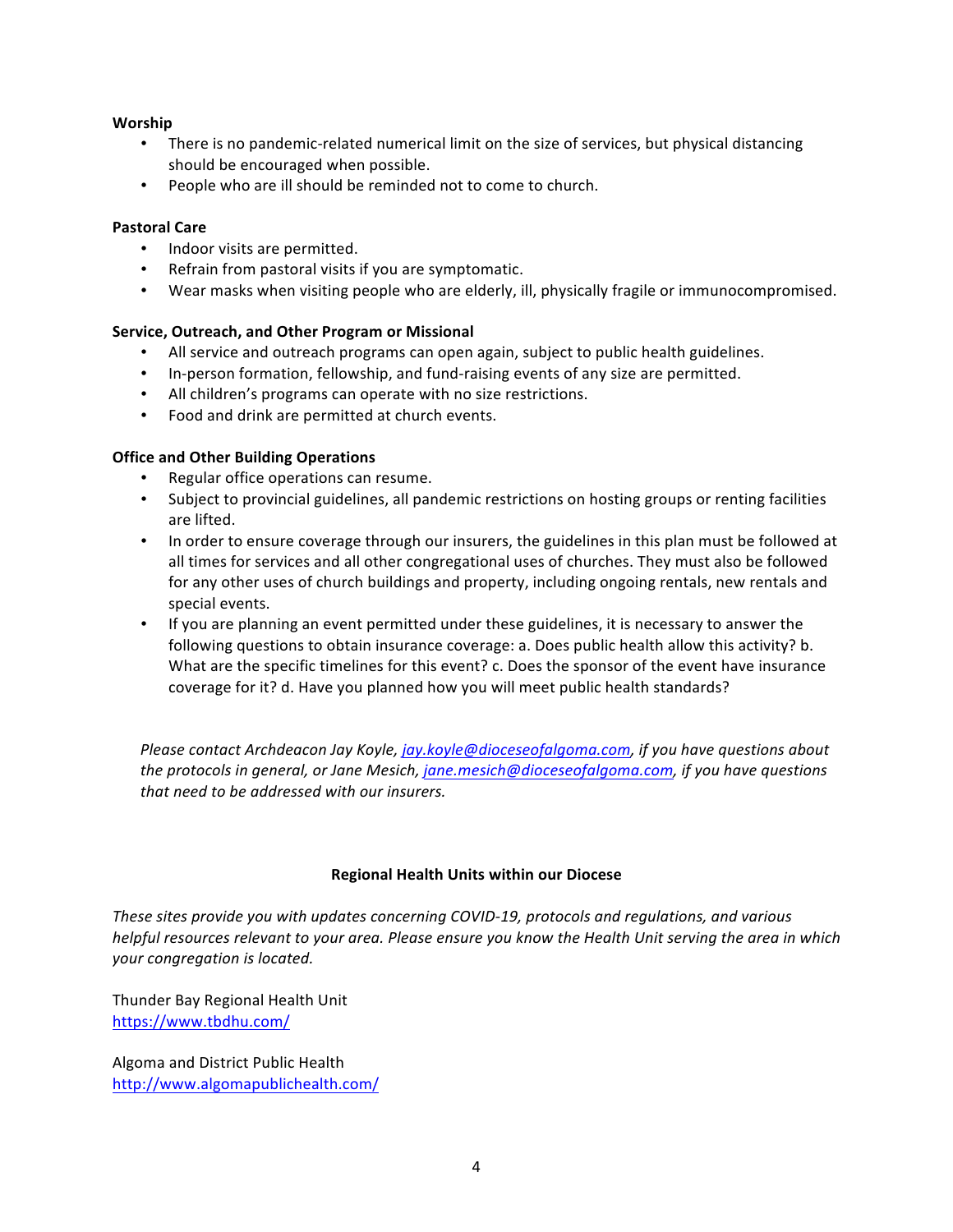### **Worship**

- There is no pandemic-related numerical limit on the size of services, but physical distancing should be encouraged when possible.
- People who are ill should be reminded not to come to church.

### **Pastoral Care**

- Indoor visits are permitted.
- Refrain from pastoral visits if you are symptomatic.
- Wear masks when visiting people who are elderly, ill, physically fragile or immunocompromised.

## **Service, Outreach, and Other Program or Missional**

- All service and outreach programs can open again, subject to public health guidelines.
- In-person formation, fellowship, and fund-raising events of any size are permitted.
- All children's programs can operate with no size restrictions.
- Food and drink are permitted at church events.

## **Office and Other Building Operations**

- Regular office operations can resume.
- Subject to provincial guidelines, all pandemic restrictions on hosting groups or renting facilities are lifted.
- In order to ensure coverage through our insurers, the guidelines in this plan must be followed at all times for services and all other congregational uses of churches. They must also be followed for any other uses of church buildings and property, including ongoing rentals, new rentals and special events.
- If you are planning an event permitted under these guidelines, it is necessary to answer the following questions to obtain insurance coverage: a. Does public health allow this activity? b. What are the specific timelines for this event? c. Does the sponsor of the event have insurance coverage for it? d. Have you planned how you will meet public health standards?

*Please contact Archdeacon Jay Koyle, jay.koyle@dioceseofalgoma.com, if you have questions about* the protocols in general, or Jane Mesich, jane.mesich@dioceseofalgoma.com, if you have questions that need to be addressed with our insurers.

### **Regional Health Units within our Diocese**

These sites provide you with updates concerning COVID-19, protocols and regulations, and various *helpful resources relevant to your area. Please ensure you know the Health Unit serving the area in which your congregation is located.*

Thunder Bay Regional Health Unit https://www.tbdhu.com/

Algoma and District Public Health http://www.algomapublichealth.com/